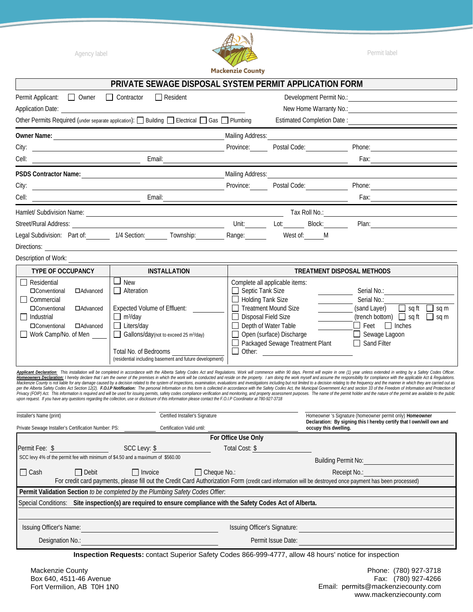

|                                                                                                                                                                                                                                                                                                                                                                                                                                                                                                                                                                                                                                                                                                                                                                                                                                                                                                                                                                                                                                                                                                      | PRIVATE SEWAGE DISPOSAL SYSTEM PERMIT APPLICATION FORM                                                                                                                                                                                                                                                                                                                                                                                                                                        |                                                                                                                                                                                                                                         |                                                                                                                                                    |                                                                                                                                                                                           |  |  |  |  |  |  |
|------------------------------------------------------------------------------------------------------------------------------------------------------------------------------------------------------------------------------------------------------------------------------------------------------------------------------------------------------------------------------------------------------------------------------------------------------------------------------------------------------------------------------------------------------------------------------------------------------------------------------------------------------------------------------------------------------------------------------------------------------------------------------------------------------------------------------------------------------------------------------------------------------------------------------------------------------------------------------------------------------------------------------------------------------------------------------------------------------|-----------------------------------------------------------------------------------------------------------------------------------------------------------------------------------------------------------------------------------------------------------------------------------------------------------------------------------------------------------------------------------------------------------------------------------------------------------------------------------------------|-----------------------------------------------------------------------------------------------------------------------------------------------------------------------------------------------------------------------------------------|----------------------------------------------------------------------------------------------------------------------------------------------------|-------------------------------------------------------------------------------------------------------------------------------------------------------------------------------------------|--|--|--|--|--|--|
| Permit Applicant:<br><u> </u> Owner                                                                                                                                                                                                                                                                                                                                                                                                                                                                                                                                                                                                                                                                                                                                                                                                                                                                                                                                                                                                                                                                  | $\Box$ Contractor<br>$\Box$ Resident                                                                                                                                                                                                                                                                                                                                                                                                                                                          |                                                                                                                                                                                                                                         | Development Permit No.:                                                                                                                            |                                                                                                                                                                                           |  |  |  |  |  |  |
| Application Date: Application Date:                                                                                                                                                                                                                                                                                                                                                                                                                                                                                                                                                                                                                                                                                                                                                                                                                                                                                                                                                                                                                                                                  |                                                                                                                                                                                                                                                                                                                                                                                                                                                                                               |                                                                                                                                                                                                                                         | New Home Warranty No.:                                                                                                                             |                                                                                                                                                                                           |  |  |  |  |  |  |
| Other Permits Required (under separate application): $\Box$ Building $\Box$ Electrical $\Box$ Gas $\Box$ Plumbing                                                                                                                                                                                                                                                                                                                                                                                                                                                                                                                                                                                                                                                                                                                                                                                                                                                                                                                                                                                    | Estimated Completion Date:                                                                                                                                                                                                                                                                                                                                                                                                                                                                    |                                                                                                                                                                                                                                         |                                                                                                                                                    |                                                                                                                                                                                           |  |  |  |  |  |  |
|                                                                                                                                                                                                                                                                                                                                                                                                                                                                                                                                                                                                                                                                                                                                                                                                                                                                                                                                                                                                                                                                                                      |                                                                                                                                                                                                                                                                                                                                                                                                                                                                                               | Mailing Address:                                                                                                                                                                                                                        |                                                                                                                                                    |                                                                                                                                                                                           |  |  |  |  |  |  |
|                                                                                                                                                                                                                                                                                                                                                                                                                                                                                                                                                                                                                                                                                                                                                                                                                                                                                                                                                                                                                                                                                                      | City: <u>contract and the contract of the contract of the contract of the contract of the contract of the contract of the contract of the contract of the contract of the contract of the contract of the contract of the contra</u>                                                                                                                                                                                                                                                          | Province: Postal Code:                                                                                                                                                                                                                  |                                                                                                                                                    | Phone:                                                                                                                                                                                    |  |  |  |  |  |  |
|                                                                                                                                                                                                                                                                                                                                                                                                                                                                                                                                                                                                                                                                                                                                                                                                                                                                                                                                                                                                                                                                                                      | Email: <u>______________</u>                                                                                                                                                                                                                                                                                                                                                                                                                                                                  |                                                                                                                                                                                                                                         |                                                                                                                                                    |                                                                                                                                                                                           |  |  |  |  |  |  |
|                                                                                                                                                                                                                                                                                                                                                                                                                                                                                                                                                                                                                                                                                                                                                                                                                                                                                                                                                                                                                                                                                                      |                                                                                                                                                                                                                                                                                                                                                                                                                                                                                               | <b>Mailing Address:</b>                                                                                                                                                                                                                 |                                                                                                                                                    |                                                                                                                                                                                           |  |  |  |  |  |  |
| City:                                                                                                                                                                                                                                                                                                                                                                                                                                                                                                                                                                                                                                                                                                                                                                                                                                                                                                                                                                                                                                                                                                | <u> 1989 - Johann Harry Harry Harry Harry Harry Harry Harry Harry Harry Harry Harry Harry Harry Harry Harry Harry</u>                                                                                                                                                                                                                                                                                                                                                                         | Province: Postal Code:                                                                                                                                                                                                                  |                                                                                                                                                    | Phone:                                                                                                                                                                                    |  |  |  |  |  |  |
|                                                                                                                                                                                                                                                                                                                                                                                                                                                                                                                                                                                                                                                                                                                                                                                                                                                                                                                                                                                                                                                                                                      |                                                                                                                                                                                                                                                                                                                                                                                                                                                                                               |                                                                                                                                                                                                                                         |                                                                                                                                                    |                                                                                                                                                                                           |  |  |  |  |  |  |
|                                                                                                                                                                                                                                                                                                                                                                                                                                                                                                                                                                                                                                                                                                                                                                                                                                                                                                                                                                                                                                                                                                      |                                                                                                                                                                                                                                                                                                                                                                                                                                                                                               |                                                                                                                                                                                                                                         |                                                                                                                                                    |                                                                                                                                                                                           |  |  |  |  |  |  |
|                                                                                                                                                                                                                                                                                                                                                                                                                                                                                                                                                                                                                                                                                                                                                                                                                                                                                                                                                                                                                                                                                                      |                                                                                                                                                                                                                                                                                                                                                                                                                                                                                               | Unit: Lot: Block:                                                                                                                                                                                                                       |                                                                                                                                                    |                                                                                                                                                                                           |  |  |  |  |  |  |
|                                                                                                                                                                                                                                                                                                                                                                                                                                                                                                                                                                                                                                                                                                                                                                                                                                                                                                                                                                                                                                                                                                      | Legal Subdivision: Part of: 1/4 Section: Township: Range: Range:                                                                                                                                                                                                                                                                                                                                                                                                                              | West of: M                                                                                                                                                                                                                              |                                                                                                                                                    |                                                                                                                                                                                           |  |  |  |  |  |  |
|                                                                                                                                                                                                                                                                                                                                                                                                                                                                                                                                                                                                                                                                                                                                                                                                                                                                                                                                                                                                                                                                                                      |                                                                                                                                                                                                                                                                                                                                                                                                                                                                                               |                                                                                                                                                                                                                                         |                                                                                                                                                    |                                                                                                                                                                                           |  |  |  |  |  |  |
|                                                                                                                                                                                                                                                                                                                                                                                                                                                                                                                                                                                                                                                                                                                                                                                                                                                                                                                                                                                                                                                                                                      | Description of Work: <u>contract the contract of the contract of the contract of the contract of the contract of the contract of the contract of the contract of the contract of the contract of the contract of the contract of</u>                                                                                                                                                                                                                                                          |                                                                                                                                                                                                                                         |                                                                                                                                                    |                                                                                                                                                                                           |  |  |  |  |  |  |
| <b>TYPE OF OCCUPANCY</b>                                                                                                                                                                                                                                                                                                                                                                                                                                                                                                                                                                                                                                                                                                                                                                                                                                                                                                                                                                                                                                                                             | <b>INSTALLATION</b>                                                                                                                                                                                                                                                                                                                                                                                                                                                                           |                                                                                                                                                                                                                                         | <b>TREATMENT DISPOSAL METHODS</b>                                                                                                                  |                                                                                                                                                                                           |  |  |  |  |  |  |
| $\Box$ Residential<br><b>O</b> Conventional<br>□Advanced<br>$\Box$ Commercial<br>□ Conventional<br>□Advanced<br>$\Box$ Industrial<br><b>IDConventional</b><br>□Advanced<br>Work Camp/No. of Men                                                                                                                                                                                                                                                                                                                                                                                                                                                                                                                                                                                                                                                                                                                                                                                                                                                                                                      | $\Box$ New<br>Alteration<br><b>Expected Volume of Effluent:</b><br>$\Box$ m <sup>3</sup> /day<br>$\Box$ Liters/day<br>Gallons/day(not to exceed 25 m <sup>3</sup> /day)<br>Total No. of Bedrooms<br>(residential including basement and future development)<br>Applicant Declaration: This installation will be completed in accordance with the Alberta Safety Codes Act and Regulations. Work will commence within 90 days. Permit will expire in one (1) year unless extended in writing b | Complete all applicable items:<br>$\Box$ Septic Tank Size<br>$\Box$ Holding Tank Size<br>Treatment Mound Size<br>Disposal Field Size<br>Depth of Water Table<br>Open (surface) Discharge<br>□ Packaged Sewage Treatment Plant<br>$\Box$ | $\overline{\phantom{a}}$<br><u> a shekara ta 1999 a shekara ta 1991 a shekara ta 1991 a shekara ta 1991 a shekara ta 1991 a shekara ta 1991 a </u> | Serial No.:<br>Serial No.:<br>(sand Layer)<br>$\Box$ sq ft<br>sq m<br>(trench bottom) $\Box$ sq ft $\Box$ sq m<br>$\Box$ Feet $\Box$ Inches<br>$\Box$ Sewage Lagoon<br>$\Box$ Sand Filter |  |  |  |  |  |  |
| Homeowners Declaration: I hereby declare that I am the owner of the premises in which the work will be conducted and reside on the property. I am doing the work myself and assume the responsibility for compliance with the<br>Mackenzie County is not liable for any damage caused by a decision related to the system of inspections, examination, evaluations and investigations including but not limited to a decision relating to the frequency and the<br>per the Alberta Safety Codes Act Section 12(2). F.O.I.P Notification: The personal Information on this form is collected in accordance with the Safety Codes Act, the Municipal Government Act and section 33 of the Freedom o<br>Privacy (FOIP) Act. This information is required and will be used for issuing permits, safety codes compliance verification and monitoring, and property assessment purposes. The name of the permit holder and the nature of<br>upon request. If you have any questions regarding the collection, use or disclosure of this information please contact the F.O.I.P Coordinator at 780-927-3718 |                                                                                                                                                                                                                                                                                                                                                                                                                                                                                               |                                                                                                                                                                                                                                         |                                                                                                                                                    |                                                                                                                                                                                           |  |  |  |  |  |  |
| Installer's Name (print)<br>Private Sewage Installer's Certification Number: PS:                                                                                                                                                                                                                                                                                                                                                                                                                                                                                                                                                                                                                                                                                                                                                                                                                                                                                                                                                                                                                     | Certified Installer's Signature<br>Certification Valid until:                                                                                                                                                                                                                                                                                                                                                                                                                                 |                                                                                                                                                                                                                                         | occupy this dwelling.                                                                                                                              | Homeowner 's Signature (homeowner permit only) Homeowner<br>Declaration: By signing this I hereby certify that I own/will own and                                                         |  |  |  |  |  |  |
| For Office Use Only<br>SCC Levy: \$<br>Total Cost: \$<br>Permit Fee: \$<br>SCC levy 4% of the permit fee with minimum of \$4.50 and a maximum of \$560.00<br><b>Building Permit No: Example 2014</b><br>$\Box$ Cash<br>$\Box$ Invoice<br>$\Box$ Cheque No.:<br>$\Box$ Debit<br>Receipt No.:                                                                                                                                                                                                                                                                                                                                                                                                                                                                                                                                                                                                                                                                                                                                                                                                          |                                                                                                                                                                                                                                                                                                                                                                                                                                                                                               |                                                                                                                                                                                                                                         |                                                                                                                                                    |                                                                                                                                                                                           |  |  |  |  |  |  |
|                                                                                                                                                                                                                                                                                                                                                                                                                                                                                                                                                                                                                                                                                                                                                                                                                                                                                                                                                                                                                                                                                                      | For credit card payments, please fill out the Credit Card Authorization Form (credit card information will be destroyed once payment has been processed)                                                                                                                                                                                                                                                                                                                                      |                                                                                                                                                                                                                                         |                                                                                                                                                    |                                                                                                                                                                                           |  |  |  |  |  |  |
| Permit Validation Section to be completed by the Plumbing Safety Codes Offier.                                                                                                                                                                                                                                                                                                                                                                                                                                                                                                                                                                                                                                                                                                                                                                                                                                                                                                                                                                                                                       |                                                                                                                                                                                                                                                                                                                                                                                                                                                                                               |                                                                                                                                                                                                                                         |                                                                                                                                                    |                                                                                                                                                                                           |  |  |  |  |  |  |
| Special Conditions: Site inspection(s) are required to ensure compliance with the Safety Codes Act of Alberta.                                                                                                                                                                                                                                                                                                                                                                                                                                                                                                                                                                                                                                                                                                                                                                                                                                                                                                                                                                                       |                                                                                                                                                                                                                                                                                                                                                                                                                                                                                               |                                                                                                                                                                                                                                         |                                                                                                                                                    |                                                                                                                                                                                           |  |  |  |  |  |  |
| Issuing Officer's Name:<br>Issuing Officer's Signature: <u>contract the contract of the set of the set of the set of the set of the set of the set of the set of the set of the set of the set of the set of the set of the set of the set of the set of th</u><br><u> 1980 - Johann Barn, mars ann an t-Amhain Aonaich an t-Aonaich an t-Aonaich ann an t-Aonaich ann an t-Aonaich</u>                                                                                                                                                                                                                                                                                                                                                                                                                                                                                                                                                                                                                                                                                                              |                                                                                                                                                                                                                                                                                                                                                                                                                                                                                               |                                                                                                                                                                                                                                         |                                                                                                                                                    |                                                                                                                                                                                           |  |  |  |  |  |  |
| Designation No.:                                                                                                                                                                                                                                                                                                                                                                                                                                                                                                                                                                                                                                                                                                                                                                                                                                                                                                                                                                                                                                                                                     |                                                                                                                                                                                                                                                                                                                                                                                                                                                                                               |                                                                                                                                                                                                                                         |                                                                                                                                                    | Permit Issue Date: <b>Example 2018</b>                                                                                                                                                    |  |  |  |  |  |  |
|                                                                                                                                                                                                                                                                                                                                                                                                                                                                                                                                                                                                                                                                                                                                                                                                                                                                                                                                                                                                                                                                                                      | Inspection Requests: contact Superior Safety Codes 866-999-4777, allow 48 hours' notice for inspection                                                                                                                                                                                                                                                                                                                                                                                        |                                                                                                                                                                                                                                         |                                                                                                                                                    |                                                                                                                                                                                           |  |  |  |  |  |  |

Mackenzie County Box 640, 4511-46 Avenue Fort Vermilion, AB T0H 1N0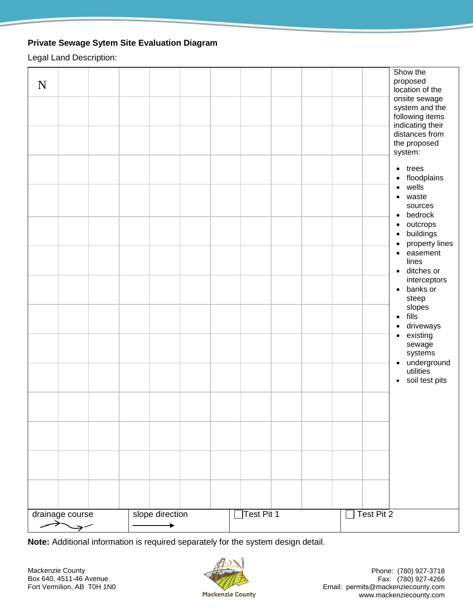## **Private Sewage Sytem Site Evaluation Diagram**

Legal Land Description:

| ${\bf N}$ |                                  |  |                 |  |                   |  |            | Show the<br>proposed<br>location of the<br>onsite sewage<br>system and the<br>following items<br>indicating their<br>distances from<br>the proposed<br>system:<br>$\bullet$ trees<br>• floodplains<br>wells<br>$\bullet$<br>waste<br>$\bullet$<br>sources<br>bedrock<br>$\bullet$<br>outcrops<br>$\bullet$<br>buildings<br>$\bullet$<br>property lines<br>$\bullet$<br>easement<br>$\bullet$<br>lines<br>· ditches or<br>interceptors<br>• banks or<br>steep<br>slopes<br>$\bullet$ fills<br>driveways<br>$\bullet$<br>• existing<br>sewage<br>systems<br>· underground<br>utilities<br>• soil test pits |
|-----------|----------------------------------|--|-----------------|--|-------------------|--|------------|----------------------------------------------------------------------------------------------------------------------------------------------------------------------------------------------------------------------------------------------------------------------------------------------------------------------------------------------------------------------------------------------------------------------------------------------------------------------------------------------------------------------------------------------------------------------------------------------------------|
|           | drainage course<br>$\rightarrow$ |  | slope direction |  | $\Box$ Test Pit 1 |  | Test Pit 2 |                                                                                                                                                                                                                                                                                                                                                                                                                                                                                                                                                                                                          |

**Note:** Additional information is required separately for the system design detail.

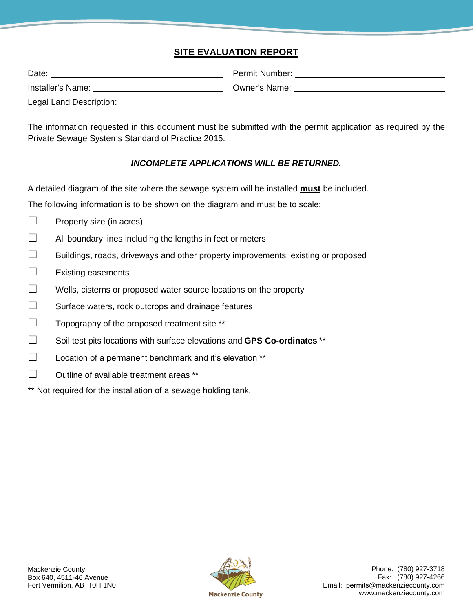# **SITE EVALUATION REPORT**

| Date:                   | Permit Number:       |
|-------------------------|----------------------|
| Installer's Name:       | <b>Owner's Name:</b> |
| Legal Land Description: |                      |

The information requested in this document must be submitted with the permit application as required by the Private Sewage Systems Standard of Practice 2015.

#### *INCOMPLETE APPLICATIONS WILL BE RETURNED.*

A detailed diagram of the site where the sewage system will be installed **must** be included.

The following information is to be shown on the diagram and must be to scale:

- $\Box$  Property size (in acres)
- $\Box$  All boundary lines including the lengths in feet or meters
- $\Box$  Buildings, roads, driveways and other property improvements; existing or proposed
- $\Box$  Existing easements
- $\Box$  Wells, cisterns or proposed water source locations on the property
- $\square$  Surface waters, rock outcrops and drainage features
- $\Box$  Topography of the proposed treatment site \*\*
- Soil test pits locations with surface elevations and **GPS Co-ordinates** \*\*
- $\square$  Location of a permanent benchmark and it's elevation \*\*
- $\Box$  Outline of available treatment areas \*\*
- \*\* Not required for the installation of a sewage holding tank.

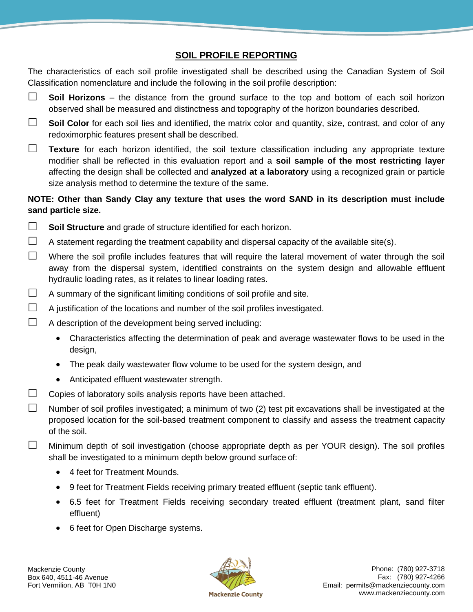# **SOIL PROFILE REPORTING**

The characteristics of each soil profile investigated shall be described using the Canadian System of Soil Classification nomenclature and include the following in the soil profile description:

- **Soil Horizons**  the distance from the ground surface to the top and bottom of each soil horizon observed shall be measured and distinctness and topography of the horizon boundaries described.
- □ Soil Color for each soil lies and identified, the matrix color and quantity, size, contrast, and color of any redoximorphic features present shall be described.
- **Texture** for each horizon identified, the soil texture classification including any appropriate texture modifier shall be reflected in this evaluation report and a **soil sample of the most restricting layer**  affecting the design shall be collected and **analyzed at a laboratory** using a recognized grain or particle size analysis method to determine the texture of the same.

#### **NOTE: Other than Sandy Clay any texture that uses the word SAND in its description must include sand particle size.**

- **Soil Structure** and grade of structure identified for each horizon.
- $\Box$  A statement regarding the treatment capability and dispersal capacity of the available site(s).
- $\Box$  Where the soil profile includes features that will require the lateral movement of water through the soil away from the dispersal system, identified constraints on the system design and allowable effluent hydraulic loading rates, as it relates to linear loading rates.
- $\Box$  A summary of the significant limiting conditions of soil profile and site.
- $\Box$  A justification of the locations and number of the soil profiles investigated.
- $\Box$  A description of the development being served including:
	- Characteristics affecting the determination of peak and average wastewater flows to be used in the design,
	- The peak daily wastewater flow volume to be used for the system design, and
	- Anticipated effluent wastewater strength.
- $\Box$  Copies of laboratory soils analysis reports have been attached.
- $\Box$  Number of soil profiles investigated; a minimum of two (2) test pit excavations shall be investigated at the proposed location for the soil-based treatment component to classify and assess the treatment capacity of the soil.
- $\Box$  Minimum depth of soil investigation (choose appropriate depth as per YOUR design). The soil profiles shall be investigated to a minimum depth below ground surface of:
	- 4 feet for Treatment Mounds.
	- 9 feet for Treatment Fields receiving primary treated effluent (septic tank effluent).
	- 6.5 feet for Treatment Fields receiving secondary treated effluent (treatment plant, sand filter effluent)
	- 6 feet for Open Discharge systems.

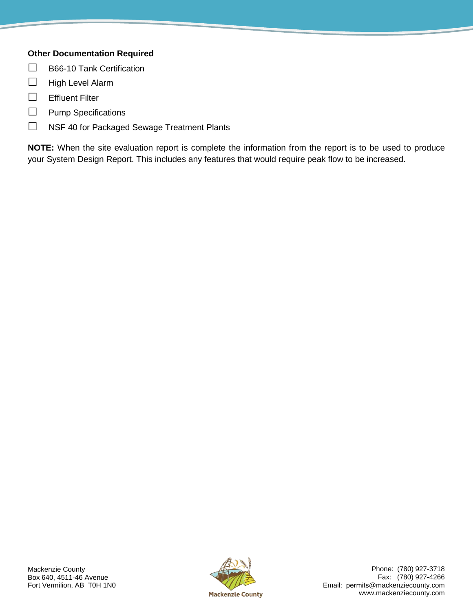## **Other Documentation Required**

- $\Box$  B66-10 Tank Certification
- $\Box$  High Level Alarm
- $\Box$  Effluent Filter
- $\Box$  Pump Specifications
- □ NSF 40 for Packaged Sewage Treatment Plants

**NOTE:** When the site evaluation report is complete the information from the report is to be used to produce your System Design Report. This includes any features that would require peak flow to be increased.